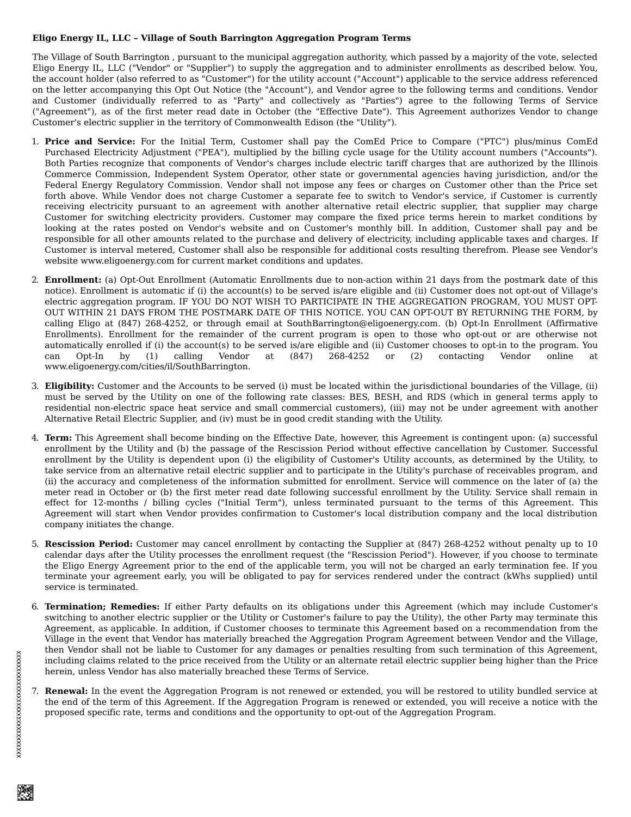## **Eligo Energy IL, LLC – Village of South Barrington Aggregation Program Terms**

The Village of South Barrington , pursuant to the municipal aggregation authority, which passed by a majority of the vote, selected Eligo Energy IL, LLC ("Vendor" or "Supplier") to supply the aggregation and to administer enrollments as described below. You, the account holder (also referred to as "Customer") for the utility account ("Account") applicable to the service address referenced on the letter accompanying this Opt Out Notice (the "Account"), and Vendor agree to the following terms and conditions. Vendor and Customer (individually referred to as "Party" and collectively as "Parties") agree to the following Terms of Service ("Agreement"), as of the first meter read date in October (the "Effective Date"). This Agreement authorizes Vendor to change Customer's electric supplier in the territory of Commonwealth Edison (the "Utility").

- 1. **Price and Service:** For the Initial Term, Customer shall pay the ComEd Price to Compare ("PTC") plus/minus ComEd Purchased Electricity Adjustment ("PEA"), multiplied by the billing cycle usage for the Utility account numbers ("Accounts"). Both Parties recognize that components of Vendor's charges include electric tariff charges that are authorized by the Illinois Commerce Commission, Independent System Operator, other state or governmental agencies having jurisdiction, and/or the Federal Energy Regulatory Commission. Vendor shall not impose any fees or charges on Customer other than the Price set forth above. While Vendor does not charge Customer a separate fee to switch to Vendor's service, if Customer is currently receiving electricity pursuant to an agreement with another alternative retail electric supplier, that supplier may charge Customer for switching electricity providers. Customer may compare the fixed price terms herein to market conditions by looking at the rates posted on Vendor's website and on Customer's monthly bill. In addition, Customer shall pay and be responsible for all other amounts related to the purchase and delivery of electricity, including applicable taxes and charges. If Customer is interval metered, Customer shall also be responsible for additional costs resulting therefrom. Please see Vendor's website www.eligoenergy.com for current market conditions and updates.
- 2. **Enrollment:** (a) Opt-Out Enrollment (Automatic Enrollments due to non-action within 21 days from the postmark date of this notice). Enrollment is automatic if (i) the account(s) to be served is/are eligible and (ii) Customer does not opt-out of Village's electric aggregation program. IF YOU DO NOT WISH TO PARTICIPATE IN THE AGGREGATION PROGRAM, YOU MUST OPT-OUT WITHIN 21 DAYS FROM THE POSTMARK DATE OF THIS NOTICE. YOU CAN OPT-OUT BY RETURNING THE FORM, by calling Eligo at (847) 268-4252, or through email at SouthBarrington@eligoenergy.com. (b) Opt-In Enrollment (Affirmative Enrollments). Enrollment for the remainder of the current program is open to those who opt-out or are otherwise not automatically enrolled if (i) the account(s) to be served is/are eligible and (ii) Customer chooses to opt-in to the program. You can Opt-In by (1) calling Vendor at (847) 268-4252 or (2) contacting Vendor online at www.eligoenergy.com/cities/il/SouthBarrington.
- 3. **Eligibility:** Customer and the Accounts to be served (i) must be located within the jurisdictional boundaries of the Village, (ii) must be served by the Utility on one of the following rate classes: BES, BESH, and RDS (which in general terms apply to residential non-electric space heat service and small commercial customers), (iii) may not be under agreement with another Alternative Retail Electric Supplier, and (iv) must be in good credit standing with the Utility.
- 4. **Term:** This Agreement shall become binding on the Effective Date, however, this Agreement is contingent upon: (a) successful enrollment by the Utility and (b) the passage of the Rescission Period without effective cancellation by Customer. Successful enrollment by the Utility is dependent upon (i) the eligibility of Customer's Utility accounts, as determined by the Utility, to take service from an alternative retail electric supplier and to participate in the Utility's purchase of receivables program, and (ii) the accuracy and completeness of the information submitted for enrollment. Service will commence on the later of (a) the meter read in October or (b) the first meter read date following successful enrollment by the Utility. Service shall remain in effect for 12-months / billing cycles ("Initial Term"), unless terminated pursuant to the terms of this Agreement. This Agreement will start when Vendor provides confirmation to Customer's local distribution company and the local distribution company initiates the change.
- 5. **Rescission Period:** Customer may cancel enrollment by contacting the Supplier at (847) 268-4252 without penalty up to 10 calendar days after the Utility processes the enrollment request (the "Rescission Period"). However, if you choose to terminate the Eligo Energy Agreement prior to the end of the applicable term, you will not be charged an early termination fee. If you terminate your agreement early, you will be obligated to pay for services rendered under the contract (kWhs supplied) until service is terminated.
- 6. **Termination; Remedies:** If either Party defaults on its obligations under this Agreement (which may include Customer's switching to another electric supplier or the Utility or Customer's failure to pay the Utility), the other Party may terminate this Agreement, as applicable. In addition, if Customer chooses to terminate this Agreement based on a recommendation from the Village in the event that Vendor has materially breached the Aggregation Program Agreement between Vendor and the Village, then Vendor shall not be liable to Customer for any damages or penalties resulting from such termination of this Agreement, including claims related to the price received from the Utility or an alternate retail electric supplier being higher than the Price herein, unless Vendor has also materially breached these Terms of Service.
- 7. **Renewal:** In the event the Aggregation Program is not renewed or extended, you will be restored to utility bundled service at the end of the term of this Agreement. If the Aggregation Program is renewed or extended, you will receive a notice with the proposed specific rate, terms and conditions and the opportunity to opt-out of the Aggregation Program.